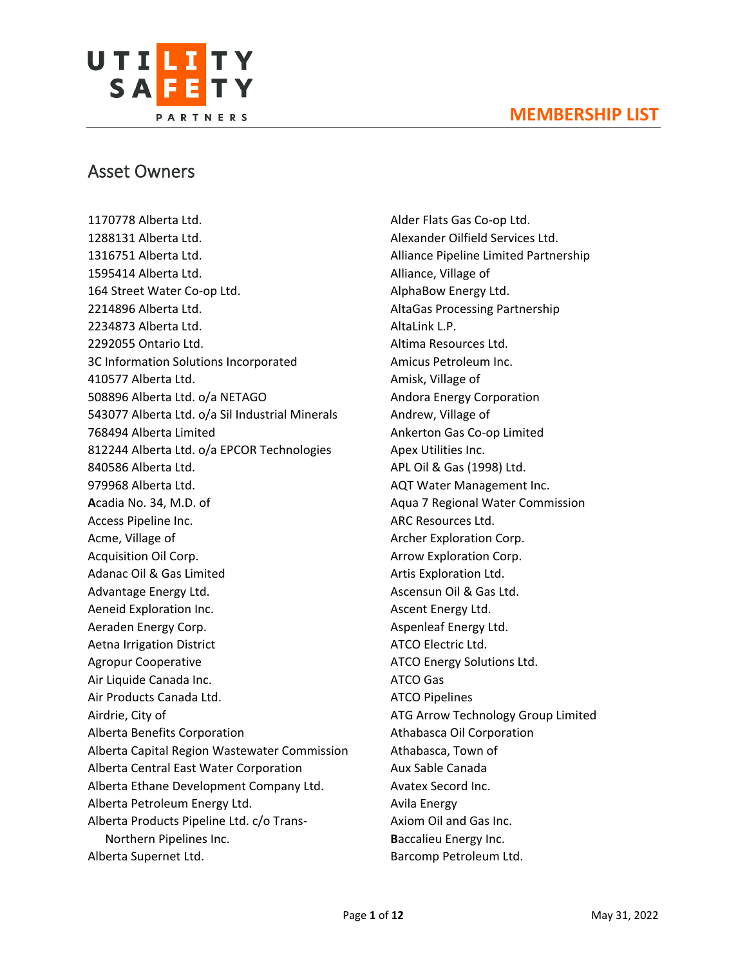

# Asset Owners

1170778 Alberta Ltd. 1288131 Alberta Ltd. 1316751 Alberta Ltd. 1595414 Alberta Ltd. 164 Street Water Co-op Ltd. 2214896 Alberta Ltd. 2234873 Alberta Ltd. 2292055 Ontario Ltd. 3C Information Solutions Incorporated 410577 Alberta Ltd. 508896 Alberta Ltd. o/a NETAGO 543077 Alberta Ltd. o/a Sil Industrial Minerals 768494 Alberta Limited 812244 Alberta Ltd. o/a EPCOR Technologies 840586 Alberta Ltd. 979968 Alberta Ltd. **A**cadia No. 34, M.D. of Access Pipeline Inc. Acme, Village of Acquisition Oil Corp. Adanac Oil & Gas Limited Advantage Energy Ltd. Aeneid Exploration Inc. Aeraden Energy Corp. Aetna Irrigation District Agropur Cooperative Air Liquide Canada Inc. Air Products Canada Ltd. Airdrie, City of Alberta Benefits Corporation Alberta Capital Region Wastewater Commission Alberta Central East Water Corporation Alberta Ethane Development Company Ltd. Alberta Petroleum Energy Ltd. Alberta Products Pipeline Ltd. c/o Trans-Northern Pipelines Inc. Alberta Supernet Ltd.

Alder Flats Gas Co-op Ltd. Alexander Oilfield Services Ltd. Alliance Pipeline Limited Partnership Alliance, Village of AlphaBow Energy Ltd. AltaGas Processing Partnership AltaLink L.P. Altima Resources Ltd. Amicus Petroleum Inc. Amisk, Village of Andora Energy Corporation Andrew, Village of Ankerton Gas Co-op Limited Apex Utilities Inc. APL Oil & Gas (1998) Ltd. AQT Water Management Inc. Aqua 7 Regional Water Commission ARC Resources Ltd. Archer Exploration Corp. Arrow Exploration Corp. Artis Exploration Ltd. Ascensun Oil & Gas Ltd. Ascent Energy Ltd. Aspenleaf Energy Ltd. ATCO Electric Ltd. ATCO Energy Solutions Ltd. ATCO Gas ATCO Pipelines ATG Arrow Technology Group Limited Athabasca Oil Corporation Athabasca, Town of Aux Sable Canada Avatex Secord Inc. Avila Energy Axiom Oil and Gas Inc. **B**accalieu Energy Inc. Barcomp Petroleum Ltd.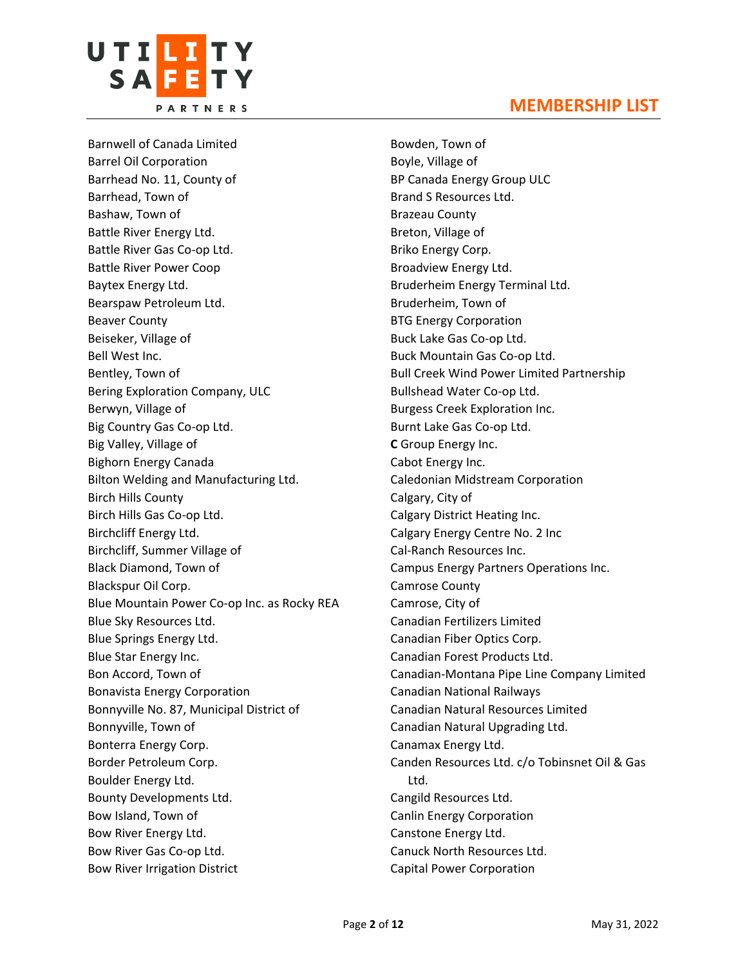

Barnwell of Canada Limited Barrel Oil Corporation Barrhead No. 11, County of Barrhead, Town of Bashaw, Town of Battle River Energy Ltd. Battle River Gas Co-op Ltd. Battle River Power Coop Baytex Energy Ltd. Bearspaw Petroleum Ltd. Beaver County Beiseker, Village of Bell West Inc. Bentley, Town of Bering Exploration Company, ULC Berwyn, Village of Big Country Gas Co-op Ltd. Big Valley, Village of Bighorn Energy Canada Bilton Welding and Manufacturing Ltd. Birch Hills County Birch Hills Gas Co-op Ltd. Birchcliff Energy Ltd. Birchcliff, Summer Village of Black Diamond, Town of Blackspur Oil Corp. Blue Mountain Power Co-op Inc. as Rocky REA Blue Sky Resources Ltd. Blue Springs Energy Ltd. Blue Star Energy Inc. Bon Accord, Town of Bonavista Energy Corporation Bonnyville No. 87, Municipal District of Bonnyville, Town of Bonterra Energy Corp. Border Petroleum Corp. Boulder Energy Ltd. Bounty Developments Ltd. Bow Island, Town of Bow River Energy Ltd. Bow River Gas Co-op Ltd. Bow River Irrigation District

Bowden, Town of Boyle, Village of BP Canada Energy Group ULC Brand S Resources Ltd. Brazeau County Breton, Village of Briko Energy Corp. Broadview Energy Ltd. Bruderheim Energy Terminal Ltd. Bruderheim, Town of BTG Energy Corporation Buck Lake Gas Co-op Ltd. Buck Mountain Gas Co-op Ltd. Bull Creek Wind Power Limited Partnership Bullshead Water Co-op Ltd. Burgess Creek Exploration Inc. Burnt Lake Gas Co-op Ltd. **C** Group Energy Inc. Cabot Energy Inc. Caledonian Midstream Corporation Calgary, City of Calgary District Heating Inc. Calgary Energy Centre No. 2 Inc Cal-Ranch Resources Inc. Campus Energy Partners Operations Inc. Camrose County Camrose, City of Canadian Fertilizers Limited Canadian Fiber Optics Corp. Canadian Forest Products Ltd. Canadian-Montana Pipe Line Company Limited Canadian National Railways Canadian Natural Resources Limited Canadian Natural Upgrading Ltd. Canamax Energy Ltd. Canden Resources Ltd. c/o Tobinsnet Oil & Gas Ltd. Cangild Resources Ltd. Canlin Energy Corporation Canstone Energy Ltd. Canuck North Resources Ltd. Capital Power Corporation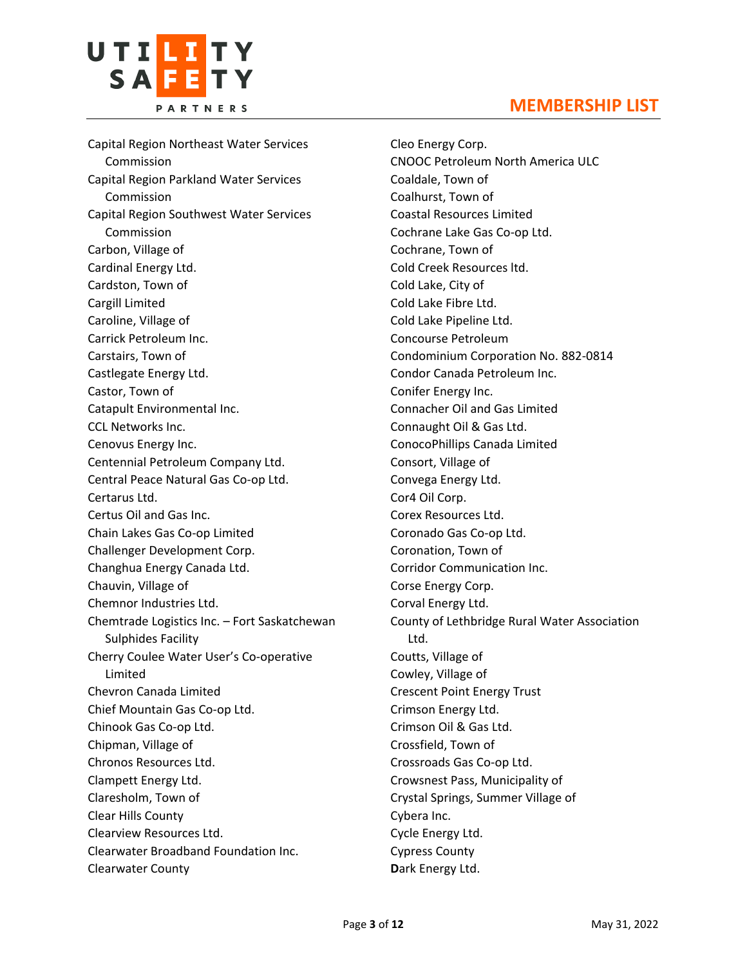

Capital Region Northeast Water Services Commission Capital Region Parkland Water Services Commission Capital Region Southwest Water Services Commission Carbon, Village of Cardinal Energy Ltd. Cardston, Town of Cargill Limited Caroline, Village of Carrick Petroleum Inc. Carstairs, Town of Castlegate Energy Ltd. Castor, Town of Catapult Environmental Inc. CCL Networks Inc. Cenovus Energy Inc. Centennial Petroleum Company Ltd. Central Peace Natural Gas Co-op Ltd. Certarus Ltd. Certus Oil and Gas Inc. Chain Lakes Gas Co-op Limited Challenger Development Corp. Changhua Energy Canada Ltd. Chauvin, Village of Chemnor Industries Ltd. Chemtrade Logistics Inc. – Fort Saskatchewan Sulphides Facility Cherry Coulee Water User's Co-operative Limited Chevron Canada Limited Chief Mountain Gas Co-op Ltd. Chinook Gas Co-op Ltd. Chipman, Village of Chronos Resources Ltd. Clampett Energy Ltd. Claresholm, Town of Clear Hills County Clearview Resources Ltd. Clearwater Broadband Foundation Inc. Clearwater County

Cleo Energy Corp. CNOOC Petroleum North America ULC Coaldale, Town of Coalhurst, Town of Coastal Resources Limited Cochrane Lake Gas Co-op Ltd. Cochrane, Town of Cold Creek Resources ltd. Cold Lake, City of Cold Lake Fibre Ltd. Cold Lake Pipeline Ltd. Concourse Petroleum Condominium Corporation No. 882-0814 Condor Canada Petroleum Inc. Conifer Energy Inc. Connacher Oil and Gas Limited Connaught Oil & Gas Ltd. ConocoPhillips Canada Limited Consort, Village of Convega Energy Ltd. Cor4 Oil Corp. Corex Resources Ltd. Coronado Gas Co-op Ltd. Coronation, Town of Corridor Communication Inc. Corse Energy Corp. Corval Energy Ltd. County of Lethbridge Rural Water Association Ltd. Coutts, Village of Cowley, Village of Crescent Point Energy Trust Crimson Energy Ltd. Crimson Oil & Gas Ltd. Crossfield, Town of Crossroads Gas Co-op Ltd. Crowsnest Pass, Municipality of Crystal Springs, Summer Village of Cybera Inc. Cycle Energy Ltd. Cypress County **D**ark Energy Ltd.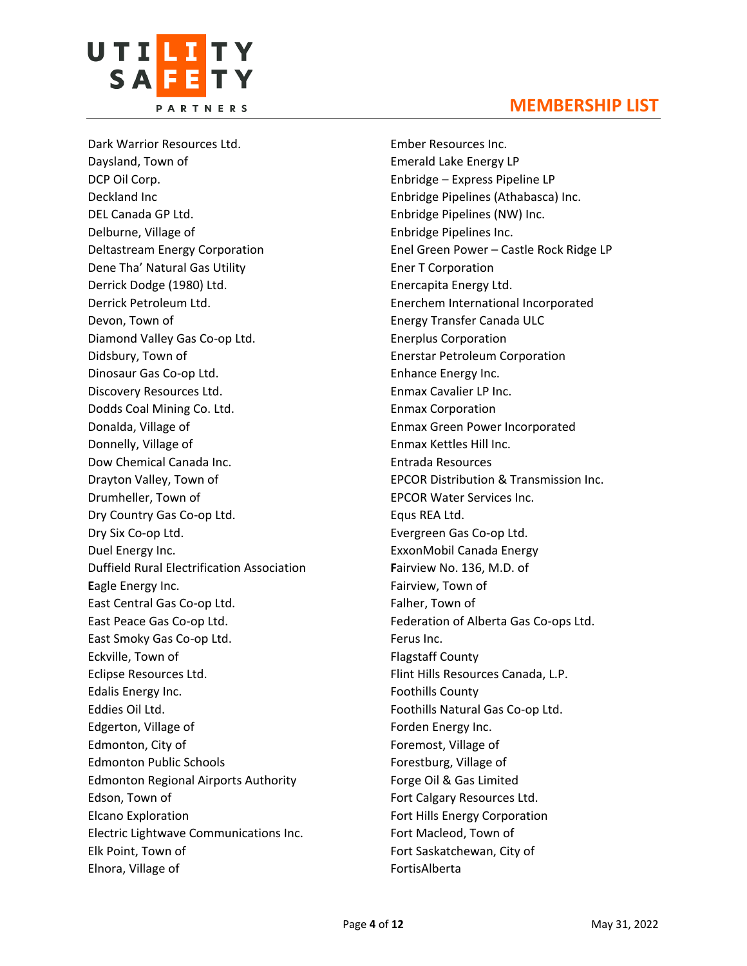



Dark Warrior Resources Ltd. Daysland, Town of DCP Oil Corp. Deckland Inc DEL Canada GP Ltd. Delburne, Village of Deltastream Energy Corporation Dene Tha' Natural Gas Utility Derrick Dodge (1980) Ltd. Derrick Petroleum Ltd. Devon, Town of Diamond Valley Gas Co-op Ltd. Didsbury, Town of Dinosaur Gas Co-op Ltd. Discovery Resources Ltd. Dodds Coal Mining Co. Ltd. Donalda, Village of Donnelly, Village of Dow Chemical Canada Inc. Drayton Valley, Town of Drumheller, Town of Dry Country Gas Co-op Ltd. Dry Six Co-op Ltd. Duel Energy Inc. Duffield Rural Electrification Association **E**agle Energy Inc. East Central Gas Co-op Ltd. East Peace Gas Co-op Ltd. East Smoky Gas Co-op Ltd. Eckville, Town of Eclipse Resources Ltd. Edalis Energy Inc. Eddies Oil Ltd. Edgerton, Village of Edmonton, City of Edmonton Public Schools Edmonton Regional Airports Authority Edson, Town of Elcano Exploration Electric Lightwave Communications Inc. Elk Point, Town of Elnora, Village of

Ember Resources Inc. Emerald Lake Energy LP Enbridge – Express Pipeline LP Enbridge Pipelines (Athabasca) Inc. Enbridge Pipelines (NW) Inc. Enbridge Pipelines Inc. Enel Green Power – Castle Rock Ridge LP Ener T Corporation Enercapita Energy Ltd. Enerchem International Incorporated Energy Transfer Canada ULC Enerplus Corporation Enerstar Petroleum Corporation Enhance Energy Inc. Enmax Cavalier LP Inc. Enmax Corporation Enmax Green Power Incorporated Enmax Kettles Hill Inc. Entrada Resources EPCOR Distribution & Transmission Inc. EPCOR Water Services Inc. Equs REA Ltd. Evergreen Gas Co-op Ltd. ExxonMobil Canada Energy **F**airview No. 136, M.D. of Fairview, Town of Falher, Town of Federation of Alberta Gas Co-ops Ltd. Ferus Inc. Flagstaff County Flint Hills Resources Canada, L.P. Foothills County Foothills Natural Gas Co-op Ltd. Forden Energy Inc. Foremost, Village of Forestburg, Village of Forge Oil & Gas Limited Fort Calgary Resources Ltd. Fort Hills Energy Corporation Fort Macleod, Town of Fort Saskatchewan, City of FortisAlberta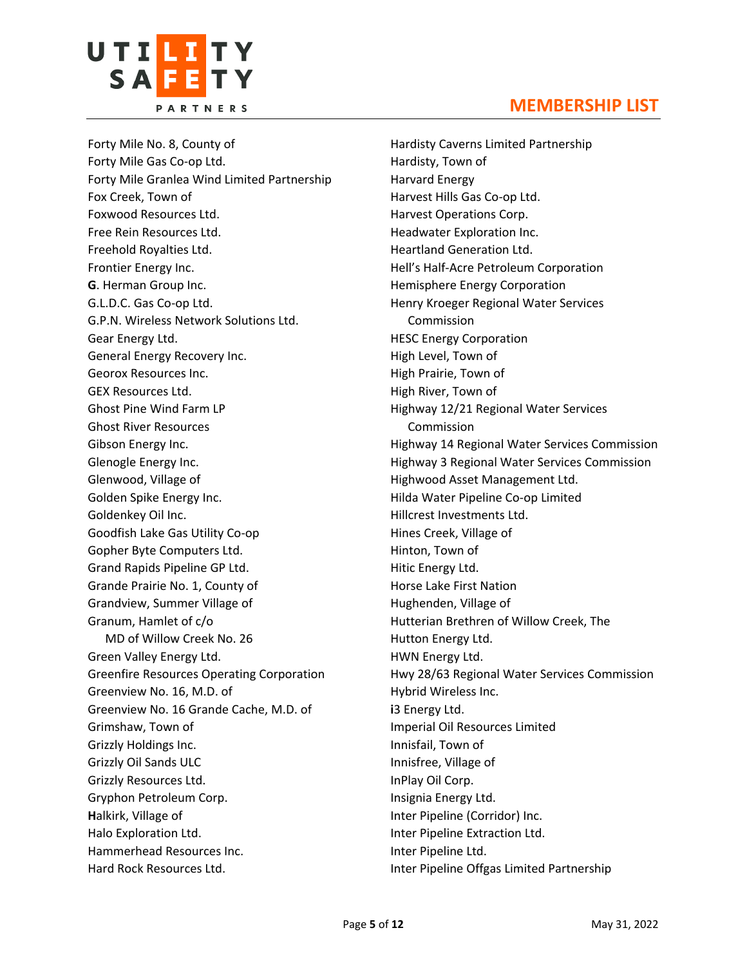

Forty Mile No. 8, County of Forty Mile Gas Co-op Ltd. Forty Mile Granlea Wind Limited Partnership Fox Creek, Town of Foxwood Resources Ltd. Free Rein Resources Ltd. Freehold Royalties Ltd. Frontier Energy Inc. **G**. Herman Group Inc. G.L.D.C. Gas Co-op Ltd. G.P.N. Wireless Network Solutions Ltd. Gear Energy Ltd. General Energy Recovery Inc. Georox Resources Inc. GEX Resources Ltd. Ghost Pine Wind Farm LP Ghost River Resources Gibson Energy Inc. Glenogle Energy Inc. Glenwood, Village of Golden Spike Energy Inc. Goldenkey Oil Inc. Goodfish Lake Gas Utility Co-op Gopher Byte Computers Ltd. Grand Rapids Pipeline GP Ltd. Grande Prairie No. 1, County of Grandview, Summer Village of Granum, Hamlet of c/o MD of Willow Creek No. 26 Green Valley Energy Ltd. Greenfire Resources Operating Corporation Greenview No. 16, M.D. of Greenview No. 16 Grande Cache, M.D. of Grimshaw, Town of Grizzly Holdings Inc. Grizzly Oil Sands ULC Grizzly Resources Ltd. Gryphon Petroleum Corp. **H**alkirk, Village of Halo Exploration Ltd. Hammerhead Resources Inc. Hard Rock Resources Ltd.

Hardisty Caverns Limited Partnership Hardisty, Town of Harvard Energy Harvest Hills Gas Co-op Ltd. Harvest Operations Corp. Headwater Exploration Inc. Heartland Generation Ltd. Hell's Half-Acre Petroleum Corporation Hemisphere Energy Corporation Henry Kroeger Regional Water Services Commission HESC Energy Corporation High Level, Town of High Prairie, Town of High River, Town of Highway 12/21 Regional Water Services Commission Highway 14 Regional Water Services Commission Highway 3 Regional Water Services Commission Highwood Asset Management Ltd. Hilda Water Pipeline Co-op Limited Hillcrest Investments Ltd. Hines Creek, Village of Hinton, Town of Hitic Energy Ltd. Horse Lake First Nation Hughenden, Village of Hutterian Brethren of Willow Creek, The Hutton Energy Ltd. HWN Energy Ltd. Hwy 28/63 Regional Water Services Commission Hybrid Wireless Inc. **i**3 Energy Ltd. Imperial Oil Resources Limited Innisfail, Town of Innisfree, Village of InPlay Oil Corp. Insignia Energy Ltd. Inter Pipeline (Corridor) Inc. Inter Pipeline Extraction Ltd. Inter Pipeline Ltd. Inter Pipeline Offgas Limited Partnership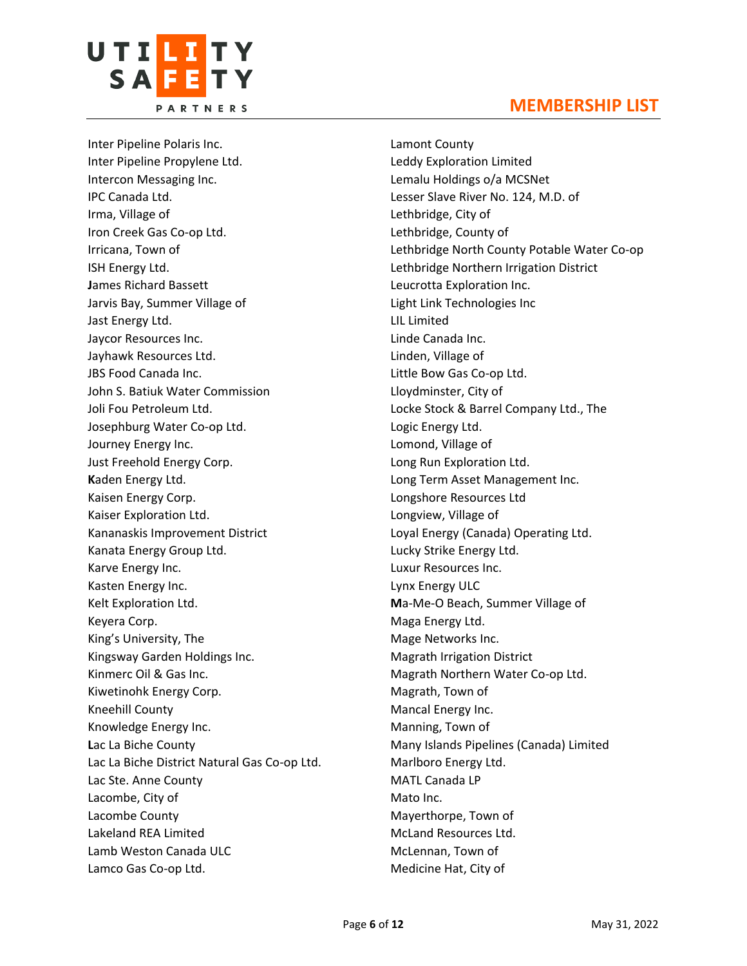



Inter Pipeline Polaris Inc. Inter Pipeline Propylene Ltd. Intercon Messaging Inc. IPC Canada Ltd. Irma, Village of Iron Creek Gas Co-op Ltd. Irricana, Town of ISH Energy Ltd. **J**ames Richard Bassett Jarvis Bay, Summer Village of Jast Energy Ltd. Jaycor Resources Inc. Jayhawk Resources Ltd. JBS Food Canada Inc. John S. Batiuk Water Commission Joli Fou Petroleum Ltd. Josephburg Water Co-op Ltd. Journey Energy Inc. Just Freehold Energy Corp. **K**aden Energy Ltd. Kaisen Energy Corp. Kaiser Exploration Ltd. Kananaskis Improvement District Kanata Energy Group Ltd. Karve Energy Inc. Kasten Energy Inc. Kelt Exploration Ltd. Keyera Corp. King's University, The Kingsway Garden Holdings Inc. Kinmerc Oil & Gas Inc. Kiwetinohk Energy Corp. Kneehill County Knowledge Energy Inc. **L**ac La Biche County Lac La Biche District Natural Gas Co-op Ltd. Lac Ste. Anne County Lacombe, City of Lacombe County Lakeland REA Limited Lamb Weston Canada ULC Lamco Gas Co-op Ltd.

Lamont County Leddy Exploration Limited Lemalu Holdings o/a MCSNet Lesser Slave River No. 124, M.D. of Lethbridge, City of Lethbridge, County of Lethbridge North County Potable Water Co-op Lethbridge Northern Irrigation District Leucrotta Exploration Inc. Light Link Technologies Inc LIL Limited Linde Canada Inc. Linden, Village of Little Bow Gas Co-op Ltd. Lloydminster, City of Locke Stock & Barrel Company Ltd., The Logic Energy Ltd. Lomond, Village of Long Run Exploration Ltd. Long Term Asset Management Inc. Longshore Resources Ltd Longview, Village of Loyal Energy (Canada) Operating Ltd. Lucky Strike Energy Ltd. Luxur Resources Inc. Lynx Energy ULC **M**a-Me-O Beach, Summer Village of Maga Energy Ltd. Mage Networks Inc. Magrath Irrigation District Magrath Northern Water Co-op Ltd. Magrath, Town of Mancal Energy Inc. Manning, Town of Many Islands Pipelines (Canada) Limited Marlboro Energy Ltd. MATL Canada LP Mato Inc. Mayerthorpe, Town of McLand Resources Ltd. McLennan, Town of Medicine Hat, City of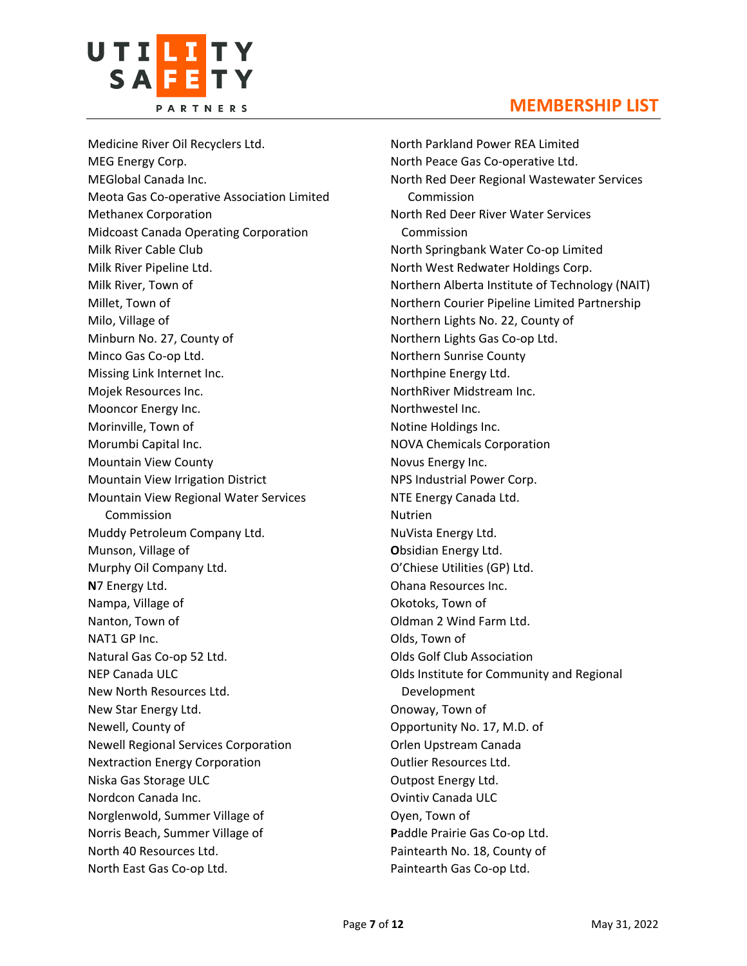

Medicine River Oil Recyclers Ltd. MEG Energy Corp. MEGlobal Canada Inc. Meota Gas Co-operative Association Limited Methanex Corporation Midcoast Canada Operating Corporation Milk River Cable Club Milk River Pipeline Ltd. Milk River, Town of Millet, Town of Milo, Village of Minburn No. 27, County of Minco Gas Co-op Ltd. Missing Link Internet Inc. Mojek Resources Inc. Mooncor Energy Inc. Morinville, Town of Morumbi Capital Inc. Mountain View County Mountain View Irrigation District Mountain View Regional Water Services Commission Muddy Petroleum Company Ltd. Munson, Village of Murphy Oil Company Ltd. **N**7 Energy Ltd. Nampa, Village of Nanton, Town of NAT1 GP Inc. Natural Gas Co-op 52 Ltd. NEP Canada ULC New North Resources Ltd. New Star Energy Ltd. Newell, County of Newell Regional Services Corporation Nextraction Energy Corporation Niska Gas Storage ULC Nordcon Canada Inc. Norglenwold, Summer Village of Norris Beach, Summer Village of North 40 Resources Ltd. North East Gas Co-op Ltd.

North Parkland Power REA Limited North Peace Gas Co-operative Ltd. North Red Deer Regional Wastewater Services Commission North Red Deer River Water Services Commission North Springbank Water Co-op Limited North West Redwater Holdings Corp. Northern Alberta Institute of Technology (NAIT) Northern Courier Pipeline Limited Partnership Northern Lights No. 22, County of Northern Lights Gas Co-op Ltd. Northern Sunrise County Northpine Energy Ltd. NorthRiver Midstream Inc. Northwestel Inc. Notine Holdings Inc. NOVA Chemicals Corporation Novus Energy Inc. NPS Industrial Power Corp. NTE Energy Canada Ltd. Nutrien NuVista Energy Ltd. **O**bsidian Energy Ltd. O'Chiese Utilities (GP) Ltd. Ohana Resources Inc. Okotoks, Town of Oldman 2 Wind Farm Ltd. Olds, Town of Olds Golf Club Association Olds Institute for Community and Regional Development Onoway, Town of Opportunity No. 17, M.D. of Orlen Upstream Canada Outlier Resources Ltd. Outpost Energy Ltd. Ovintiv Canada ULC Oyen, Town of **P**addle Prairie Gas Co-op Ltd. Paintearth No. 18, County of Paintearth Gas Co-op Ltd.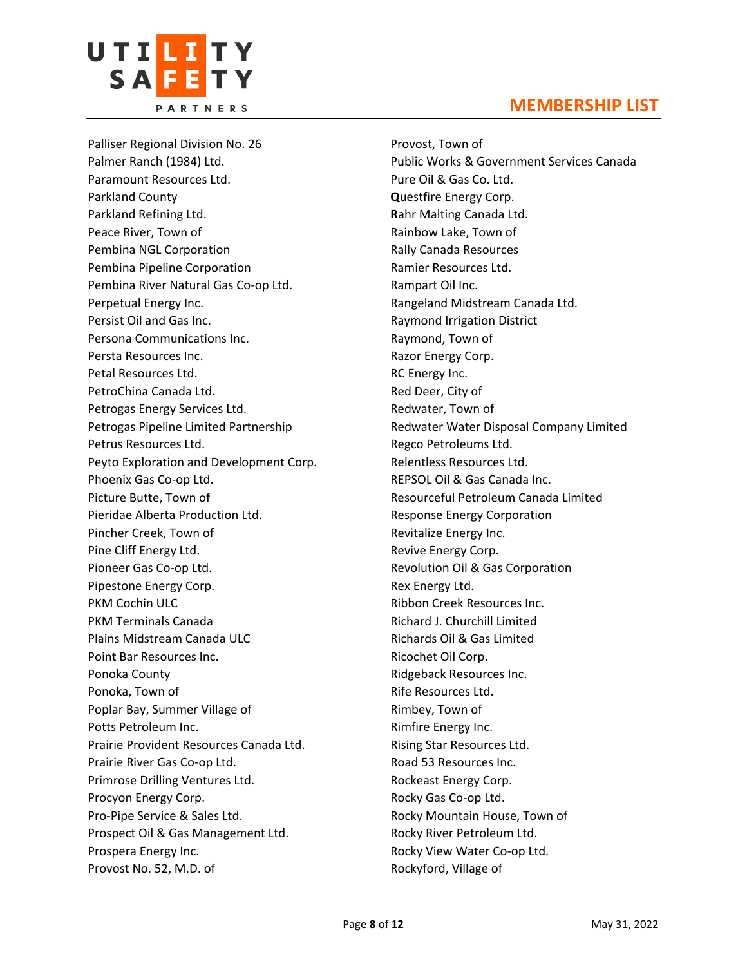



UTI<mark>li</mark>ty

SAFFTY

Provost, Town of Public Works & Government Services Canada Pure Oil & Gas Co. Ltd. **Q**uestfire Energy Corp. **R**ahr Malting Canada Ltd. Rainbow Lake, Town of Rally Canada Resources Ramier Resources Ltd. Rampart Oil Inc. Rangeland Midstream Canada Ltd. Raymond Irrigation District Raymond, Town of Razor Energy Corp. RC Energy Inc. Red Deer, City of Redwater, Town of Redwater Water Disposal Company Limited Regco Petroleums Ltd. Relentless Resources Ltd. REPSOL Oil & Gas Canada Inc. Resourceful Petroleum Canada Limited Response Energy Corporation Revitalize Energy Inc. Revive Energy Corp. Revolution Oil & Gas Corporation Rex Energy Ltd. Ribbon Creek Resources Inc. Richard J. Churchill Limited Richards Oil & Gas Limited Ricochet Oil Corp. Ridgeback Resources Inc. Rife Resources Ltd. Rimbey, Town of Rimfire Energy Inc. Rising Star Resources Ltd. Road 53 Resources Inc. Rockeast Energy Corp. Rocky Gas Co-op Ltd. Rocky Mountain House, Town of Rocky River Petroleum Ltd. Rocky View Water Co-op Ltd. Rockyford, Village of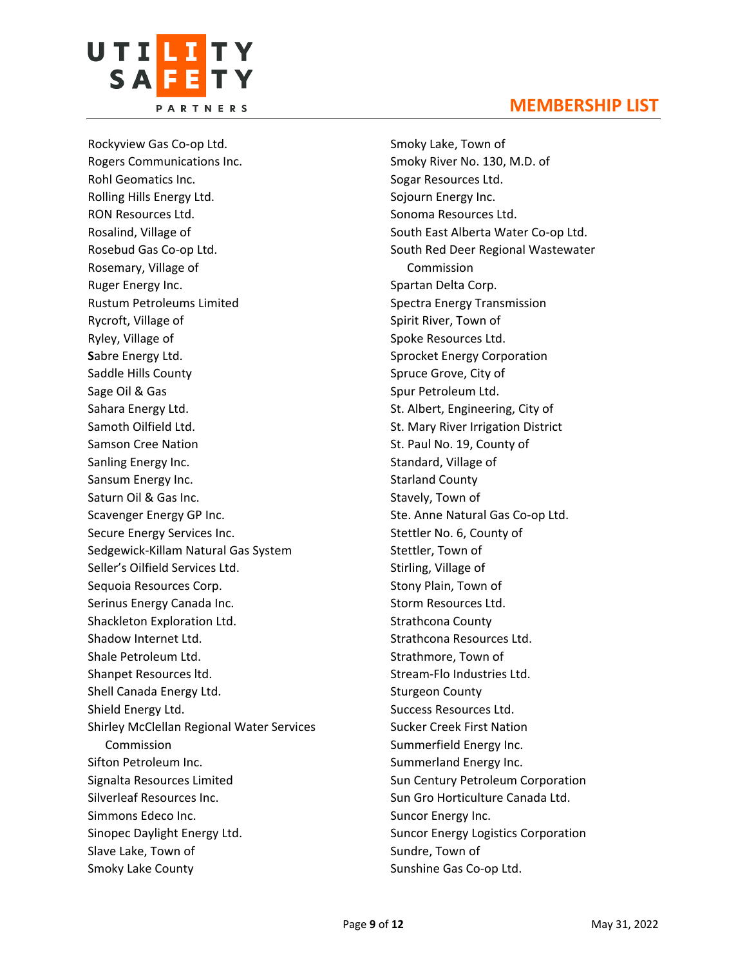

Rockyview Gas Co-op Ltd. Rogers Communications Inc. Rohl Geomatics Inc. Rolling Hills Energy Ltd. RON Resources Ltd. Rosalind, Village of Rosebud Gas Co-op Ltd. Rosemary, Village of Ruger Energy Inc. Rustum Petroleums Limited Rycroft, Village of Ryley, Village of **S**abre Energy Ltd. Saddle Hills County Sage Oil & Gas Sahara Energy Ltd. Samoth Oilfield Ltd. Samson Cree Nation Sanling Energy Inc. Sansum Energy Inc. Saturn Oil & Gas Inc. Scavenger Energy GP Inc. Secure Energy Services Inc. Sedgewick-Killam Natural Gas System Seller's Oilfield Services Ltd. Sequoia Resources Corp. Serinus Energy Canada Inc. Shackleton Exploration Ltd. Shadow Internet Ltd. Shale Petroleum Ltd. Shanpet Resources ltd. Shell Canada Energy Ltd. Shield Energy Ltd. Shirley McClellan Regional Water Services Commission Sifton Petroleum Inc. Signalta Resources Limited Silverleaf Resources Inc. Simmons Edeco Inc. Sinopec Daylight Energy Ltd. Slave Lake, Town of Smoky Lake County

#### **MEMBERSHIP LIST**

Smoky Lake, Town of Smoky River No. 130, M.D. of Sogar Resources Ltd. Sojourn Energy Inc. Sonoma Resources Ltd. South East Alberta Water Co-op Ltd. South Red Deer Regional Wastewater Commission Spartan Delta Corp. Spectra Energy Transmission Spirit River, Town of Spoke Resources Ltd. Sprocket Energy Corporation Spruce Grove, City of Spur Petroleum Ltd. St. Albert, Engineering, City of St. Mary River Irrigation District St. Paul No. 19, County of Standard, Village of Starland County Stavely, Town of Ste. Anne Natural Gas Co-op Ltd. Stettler No. 6, County of Stettler, Town of Stirling, Village of Stony Plain, Town of Storm Resources Ltd. Strathcona County Strathcona Resources Ltd. Strathmore, Town of Stream-Flo Industries Ltd. Sturgeon County Success Resources Ltd. Sucker Creek First Nation Summerfield Energy Inc. Summerland Energy Inc. Sun Century Petroleum Corporation Sun Gro Horticulture Canada Ltd. Suncor Energy Inc. Suncor Energy Logistics Corporation Sundre, Town of Sunshine Gas Co-op Ltd.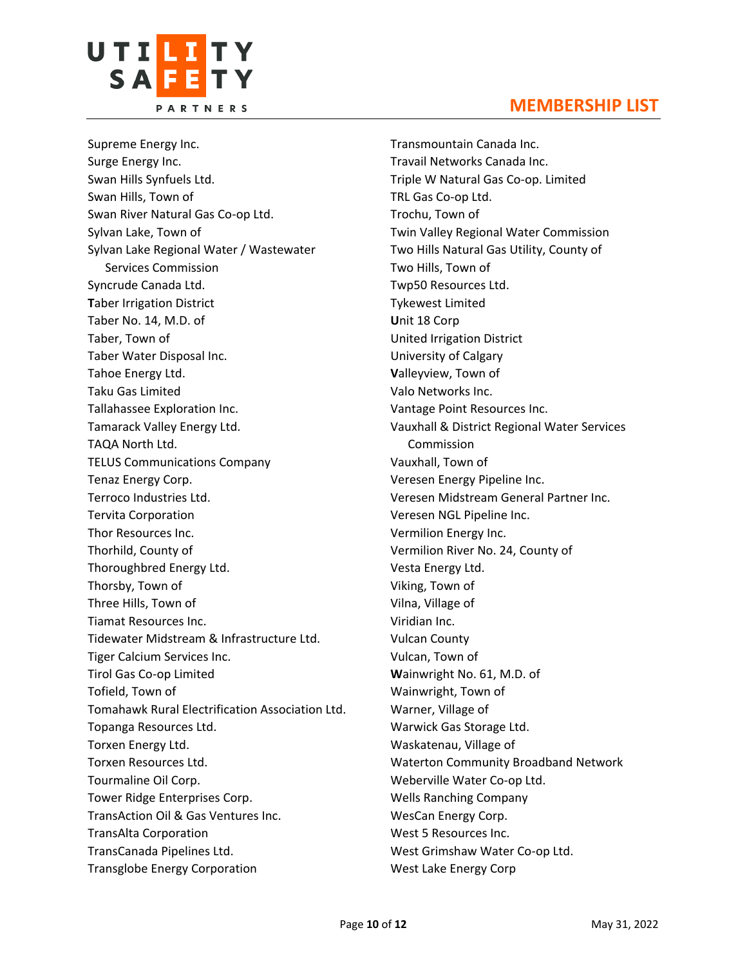



Supreme Energy Inc. Surge Energy Inc. Swan Hills Synfuels Ltd. Swan Hills, Town of Swan River Natural Gas Co-op Ltd. Sylvan Lake, Town of Sylvan Lake Regional Water / Wastewater Services Commission Syncrude Canada Ltd. **T**aber Irrigation District Taber No. 14, M.D. of Taber, Town of Taber Water Disposal Inc. Tahoe Energy Ltd. Taku Gas Limited Tallahassee Exploration Inc. Tamarack Valley Energy Ltd. TAQA North Ltd. TELUS Communications Company Tenaz Energy Corp. Terroco Industries Ltd. Tervita Corporation Thor Resources Inc. Thorhild, County of Thoroughbred Energy Ltd. Thorsby, Town of Three Hills, Town of Tiamat Resources Inc. Tidewater Midstream & Infrastructure Ltd. Tiger Calcium Services Inc. Tirol Gas Co-op Limited Tofield, Town of Tomahawk Rural Electrification Association Ltd. Topanga Resources Ltd. Torxen Energy Ltd. Torxen Resources Ltd. Tourmaline Oil Corp. Tower Ridge Enterprises Corp. TransAction Oil & Gas Ventures Inc. TransAlta Corporation TransCanada Pipelines Ltd. Transglobe Energy Corporation

Transmountain Canada Inc. Travail Networks Canada Inc. Triple W Natural Gas Co-op. Limited TRL Gas Co-op Ltd. Trochu, Town of Twin Valley Regional Water Commission Two Hills Natural Gas Utility, County of Two Hills, Town of Twp50 Resources Ltd. Tykewest Limited **U**nit 18 Corp United Irrigation District University of Calgary **V**alleyview, Town of Valo Networks Inc. Vantage Point Resources Inc. Vauxhall & District Regional Water Services Commission Vauxhall, Town of Veresen Energy Pipeline Inc. Veresen Midstream General Partner Inc. Veresen NGL Pipeline Inc. Vermilion Energy Inc. Vermilion River No. 24, County of Vesta Energy Ltd. Viking, Town of Vilna, Village of Viridian Inc. Vulcan County Vulcan, Town of **W**ainwright No. 61, M.D. of Wainwright, Town of Warner, Village of Warwick Gas Storage Ltd. Waskatenau, Village of Waterton Community Broadband Network Weberville Water Co-op Ltd. Wells Ranching Company WesCan Energy Corp. West 5 Resources Inc. West Grimshaw Water Co-op Ltd. West Lake Energy Corp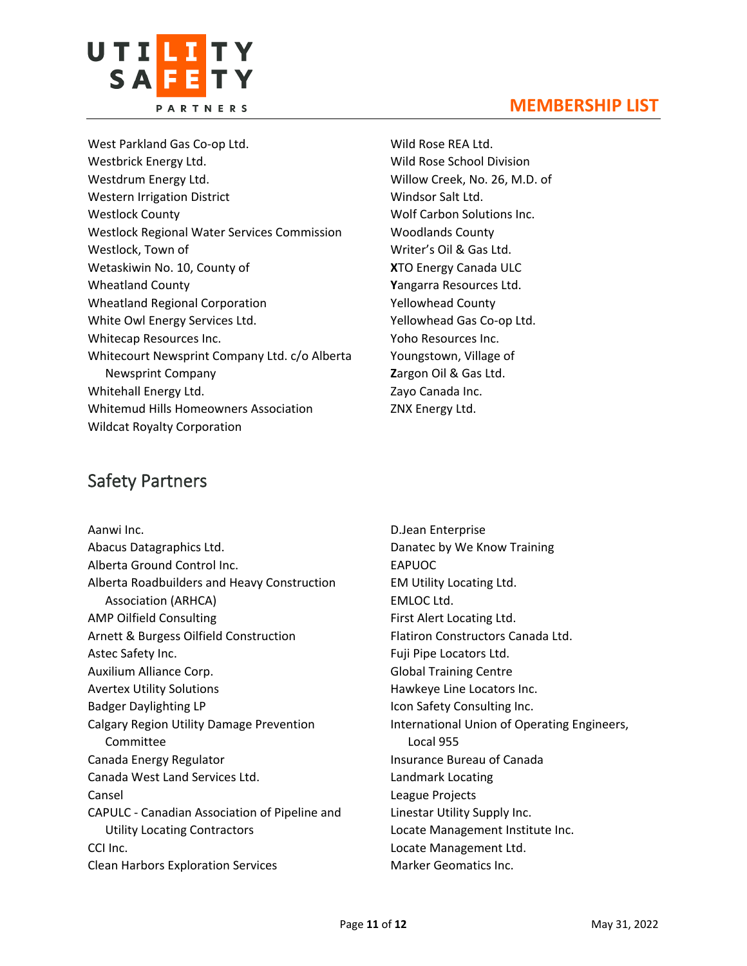

West Parkland Gas Co-op Ltd. Westbrick Energy Ltd. Westdrum Energy Ltd. Western Irrigation District Westlock County Westlock Regional Water Services Commission Westlock, Town of Wetaskiwin No. 10, County of Wheatland County Wheatland Regional Corporation White Owl Energy Services Ltd. Whitecap Resources Inc. Whitecourt Newsprint Company Ltd. c/o Alberta Newsprint Company Whitehall Energy Ltd. Whitemud Hills Homeowners Association Wildcat Royalty Corporation

Wild Rose REA Ltd. Wild Rose School Division Willow Creek, No. 26, M.D. of Windsor Salt Ltd. Wolf Carbon Solutions Inc. Woodlands County Writer's Oil & Gas Ltd. **X**TO Energy Canada ULC **Y**angarra Resources Ltd. Yellowhead County Yellowhead Gas Co-op Ltd. Yoho Resources Inc. Youngstown, Village of **Z**argon Oil & Gas Ltd. Zayo Canada Inc. ZNX Energy Ltd.

# Safety Partners

| Aanwi Inc.                                    |
|-----------------------------------------------|
| Abacus Datagraphics Ltd.                      |
| Alberta Ground Control Inc.                   |
| Alberta Roadbuilders and Heavy Construction   |
| <b>Association (ARHCA)</b>                    |
| <b>AMP Oilfield Consulting</b>                |
| Arnett & Burgess Oilfield Construction        |
| Astec Safety Inc.                             |
| Auxilium Alliance Corp.                       |
| <b>Avertex Utility Solutions</b>              |
| <b>Badger Daylighting LP</b>                  |
| Calgary Region Utility Damage Prevention      |
| Committee                                     |
| Canada Energy Regulator                       |
| Canada West Land Services Ltd.                |
| Cansel                                        |
| CAPULC - Canadian Association of Pipeline and |
| <b>Utility Locating Contractors</b>           |
| CCI Inc.                                      |
| <b>Clean Harbors Exploration Services</b>     |

D.Jean Enterprise Danatec by We Know Training EAPUOC EM Utility Locating Ltd. EMLOC Ltd. First Alert Locating Ltd. Flatiron Constructors Canada Ltd. Fuji Pipe Locators Ltd. Global Training Centre Hawkeye Line Locators Inc. Icon Safety Consulting Inc. International Union of Operating Engineers, Local 955 Insurance Bureau of Canada Landmark Locating League Projects Linestar Utility Supply Inc. Locate Management Institute Inc. Locate Management Ltd. Marker Geomatics Inc.